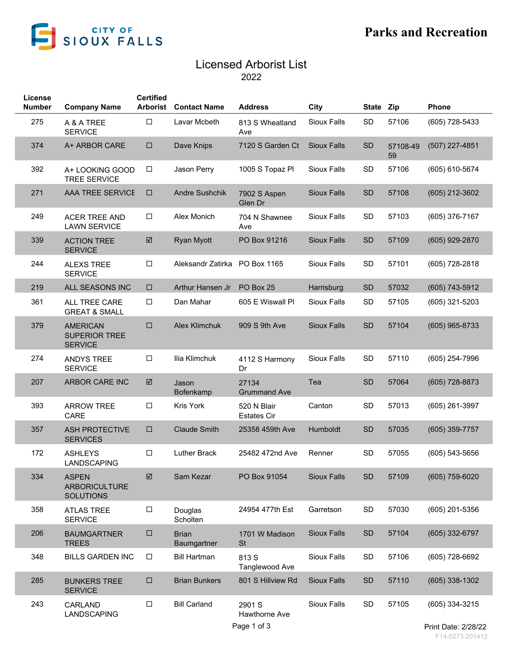

## Licensed Arborist List

2022

| License       |                                                           | <b>Certified</b> |                             |                                   |                    |              |                |                  |
|---------------|-----------------------------------------------------------|------------------|-----------------------------|-----------------------------------|--------------------|--------------|----------------|------------------|
| <b>Number</b> | <b>Company Name</b>                                       | <b>Arborist</b>  | <b>Contact Name</b>         | <b>Address</b>                    | City               | <b>State</b> | Zip            | <b>Phone</b>     |
| 275           | A & A TREE<br><b>SERVICE</b>                              | $\Box$           | Lavar Mcbeth                | 813 S Wheatland<br>Ave            | <b>Sioux Falls</b> | SD           | 57106          | (605) 728-5433   |
| 374           | A+ ARBOR CARE                                             | $\Box$           | Dave Knips                  | 7120 S Garden Ct                  | <b>Sioux Falls</b> | <b>SD</b>    | 57108-49<br>59 | (507) 227-4851   |
| 392           | A+ LOOKING GOOD<br><b>TREE SERVICE</b>                    | $\Box$           | Jason Perry                 | 1005 S Topaz PI                   | <b>Sioux Falls</b> | SD           | 57106          | (605) 610-5674   |
| 271           | <b>AAA TREE SERVICE</b>                                   | □                | <b>Andre Sushchik</b>       | 7902 S Aspen<br>Glen Dr           | <b>Sioux Falls</b> | <b>SD</b>    | 57108          | (605) 212-3602   |
| 249           | <b>ACER TREE AND</b><br><b>LAWN SERVICE</b>               | □                | Alex Monich                 | 704 N Shawnee<br>Ave              | <b>Sioux Falls</b> | SD           | 57103          | $(605)$ 376-7167 |
| 339           | <b>ACTION TREE</b><br><b>SERVICE</b>                      | ☑                | <b>Ryan Myott</b>           | PO Box 91216                      | <b>Sioux Falls</b> | <b>SD</b>    | 57109          | $(605)$ 929-2870 |
| 244           | <b>ALEXS TREE</b><br><b>SERVICE</b>                       | $\Box$           | Aleksandr Zatirka           | PO Box 1165                       | <b>Sioux Falls</b> | SD           | 57101          | (605) 728-2818   |
| 219           | ALL SEASONS INC                                           | □                | Arthur Hansen Jr            | PO Box 25                         | Harrisburg         | <b>SD</b>    | 57032          | (605) 743-5912   |
| 361           | ALL TREE CARE<br><b>GREAT &amp; SMALL</b>                 | □                | Dan Mahar                   | 605 E Wiswall Pl                  | <b>Sioux Falls</b> | SD           | 57105          | $(605)$ 321-5203 |
| 379           | <b>AMERICAN</b><br><b>SUPERIOR TREE</b><br><b>SERVICE</b> | □                | <b>Alex Klimchuk</b>        | 909 S 9th Ave                     | <b>Sioux Falls</b> | <b>SD</b>    | 57104          | $(605)$ 965-8733 |
| 274           | <b>ANDYS TREE</b><br><b>SERVICE</b>                       | □                | Ilia Klimchuk               | 4112 S Harmony<br>Dr              | <b>Sioux Falls</b> | SD           | 57110          | $(605)$ 254-7996 |
| 207           | ARBOR CARE INC                                            | ☑                | Jason<br>Bofenkamp          | 27134<br><b>Grummand Ave</b>      | Tea                | <b>SD</b>    | 57064          | (605) 728-8873   |
| 393           | <b>ARROW TREE</b><br>CARE                                 | $\Box$           | <b>Kris York</b>            | 520 N Blair<br><b>Estates Cir</b> | Canton             | SD           | 57013          | $(605)$ 261-3997 |
| 357           | <b>ASH PROTECTIVE</b><br><b>SERVICES</b>                  | □                | <b>Claude Smith</b>         | 25358 459th Ave                   | Humboldt           | <b>SD</b>    | 57035          | $(605)$ 359-7757 |
| 172           | <b>ASHLEYS</b><br>LANDSCAPING                             | $\Box$           | <b>Luther Brack</b>         | 25482 472nd Ave                   | Renner             | SD           | 57055          | $(605)$ 543-5656 |
| 334           | <b>ASPEN</b><br><b>ARBORICULTURE</b><br><b>SOLUTIONS</b>  | ☑                | Sam Kezar                   | PO Box 91054                      | <b>Sioux Falls</b> | <b>SD</b>    | 57109          | (605) 759-6020   |
| 358           | <b>ATLAS TREE</b><br><b>SERVICE</b>                       | $\Box$           | Douglas<br>Scholten         | 24954 477th Est                   | Garretson          | SD           | 57030          | (605) 201-5356   |
| 206           | <b>BAUMGARTNER</b><br><b>TREES</b>                        | $\Box$           | <b>Brian</b><br>Baumgartner | 1701 W Madison<br><b>St</b>       | <b>Sioux Falls</b> | SD           | 57104          | (605) 332-6797   |
| 348           | <b>BILLS GARDEN INC</b>                                   | $\Box$           | <b>Bill Hartman</b>         | 813 S<br>Tanglewood Ave           | <b>Sioux Falls</b> | SD           | 57106          | (605) 728-6692   |
| 285           | <b>BUNKERS TREE</b><br><b>SERVICE</b>                     | $\Box$           | <b>Brian Bunkers</b>        | 801 S Hillview Rd                 | <b>Sioux Falls</b> | SD           | 57110          | $(605)$ 338-1302 |
| 243           | CARLAND<br>LANDSCAPING                                    | $\Box$           | <b>Bill Carland</b>         | 2901 S<br>Hawthorne Ave           | <b>Sioux Falls</b> | SD           | 57105          | (605) 334-3215   |
|               |                                                           |                  |                             |                                   |                    |              |                |                  |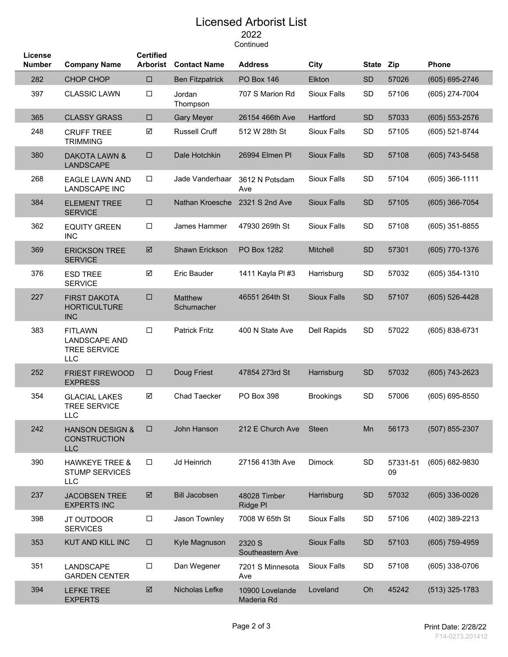## Licensed Arborist List 2022

Continued

| License<br><b>Number</b> | <b>Company Name</b>                                                         | <b>Certified</b><br><b>Arborist</b> | <b>Contact Name</b>    | <b>Address</b>                | City               | <b>State</b> | Zip            | <b>Phone</b>       |
|--------------------------|-----------------------------------------------------------------------------|-------------------------------------|------------------------|-------------------------------|--------------------|--------------|----------------|--------------------|
| 282                      | <b>CHOP CHOP</b>                                                            | $\Box$                              | <b>Ben Fitzpatrick</b> | <b>PO Box 146</b>             | Elkton             | <b>SD</b>    | 57026          | (605) 695-2746     |
| 397                      | <b>CLASSIC LAWN</b>                                                         | $\Box$                              | Jordan<br>Thompson     | 707 S Marion Rd               | <b>Sioux Falls</b> | <b>SD</b>    | 57106          | (605) 274-7004     |
| 365                      | <b>CLASSY GRASS</b>                                                         | $\Box$                              | <b>Gary Meyer</b>      | 26154 466th Ave               | Hartford           | <b>SD</b>    | 57033          | $(605) 553 - 2576$ |
| 248                      | <b>CRUFF TREE</b><br><b>TRIMMING</b>                                        | ☑                                   | <b>Russell Cruff</b>   | 512 W 28th St                 | <b>Sioux Falls</b> | <b>SD</b>    | 57105          | (605) 521-8744     |
| 380                      | DAKOTA LAWN &<br><b>LANDSCAPE</b>                                           | $\Box$                              | Dale Hotchkin          | 26994 Elmen Pl                | <b>Sioux Falls</b> | SD           | 57108          | $(605)$ 743-5458   |
| 268                      | <b>EAGLE LAWN AND</b><br><b>LANDSCAPE INC</b>                               | $\Box$                              | Jade Vanderhaar        | 3612 N Potsdam<br>Ave         | Sioux Falls        | <b>SD</b>    | 57104          | $(605)$ 366-1111   |
| 384                      | <b>ELEMENT TREE</b><br><b>SERVICE</b>                                       | $\Box$                              | Nathan Kroesche        | 2321 S 2nd Ave                | <b>Sioux Falls</b> | <b>SD</b>    | 57105          | $(605)$ 366-7054   |
| 362                      | <b>EQUITY GREEN</b><br><b>INC</b>                                           | $\Box$                              | James Hammer           | 47930 269th St                | <b>Sioux Falls</b> | SD           | 57108          | $(605)$ 351-8855   |
| 369                      | <b>ERICKSON TREE</b><br><b>SERVICE</b>                                      | ☑                                   | Shawn Erickson         | PO Box 1282                   | <b>Mitchell</b>    | SD           | 57301          | (605) 770-1376     |
| 376                      | <b>ESD TREE</b><br><b>SERVICE</b>                                           | ☑                                   | Eric Bauder            | 1411 Kayla PI #3              | Harrisburg         | <b>SD</b>    | 57032          | $(605)$ 354-1310   |
| 227                      | <b>FIRST DAKOTA</b><br><b>HORTICULTURE</b><br><b>INC</b>                    | $\Box$                              | Matthew<br>Schumacher  | 46551 264th St                | <b>Sioux Falls</b> | <b>SD</b>    | 57107          | (605) 526-4428     |
| 383                      | <b>FITLAWN</b><br><b>LANDSCAPE AND</b><br><b>TREE SERVICE</b><br><b>LLC</b> | $\Box$                              | <b>Patrick Fritz</b>   | 400 N State Ave               | Dell Rapids        | <b>SD</b>    | 57022          | (605) 838-6731     |
| 252                      | <b>FRIEST FIREWOOD</b><br><b>EXPRESS</b>                                    | $\Box$                              | Doug Friest            | 47854 273rd St                | Harrisburg         | SD           | 57032          | $(605)$ 743-2623   |
| 354                      | <b>GLACIAL LAKES</b><br><b>TREE SERVICE</b><br><b>LLC</b>                   | ☑                                   | Chad Taecker           | PO Box 398                    | <b>Brookings</b>   | SD           | 57006          | $(605) 695 - 8550$ |
| 242                      | <b>HANSON DESIGN &amp;</b><br><b>CONSTRUCTION</b><br><b>LLC</b>             | $\Box$                              | John Hanson            | 212 E Church Ave              | Steen              | Mn           | 56173          | (507) 855-2307     |
| 390                      | <b>HAWKEYE TREE &amp;</b><br><b>STUMP SERVICES</b><br><b>LLC</b>            | $\Box$                              | Jd Heinrich            | 27156 413th Ave               | Dimock             | SD           | 57331-51<br>09 | (605) 682-9830     |
| 237                      | <b>JACOBSEN TREE</b><br><b>EXPERTS INC</b>                                  | ☑                                   | <b>Bill Jacobsen</b>   | 48028 Timber<br>Ridge PI      | Harrisburg         | <b>SD</b>    | 57032          | $(605)$ 336-0026   |
| 398                      | JT OUTDOOR<br><b>SERVICES</b>                                               | $\Box$                              | Jason Townley          | 7008 W 65th St                | Sioux Falls        | SD           | 57106          | (402) 389-2213     |
| 353                      | KUT AND KILL INC                                                            | $\Box$                              | Kyle Magnuson          | 2320 S<br>Southeastern Ave    | <b>Sioux Falls</b> | SD           | 57103          | $(605)$ 759-4959   |
| 351                      | LANDSCAPE<br><b>GARDEN CENTER</b>                                           | $\Box$                              | Dan Wegener            | 7201 S Minnesota<br>Ave       | <b>Sioux Falls</b> | SD           | 57108          | (605) 338-0706     |
| 394                      | <b>LEFKE TREE</b><br><b>EXPERTS</b>                                         | ☑                                   | Nicholas Lefke         | 10900 Lovelande<br>Maderia Rd | Loveland           | Oh           | 45242          | $(513)$ 325-1783   |